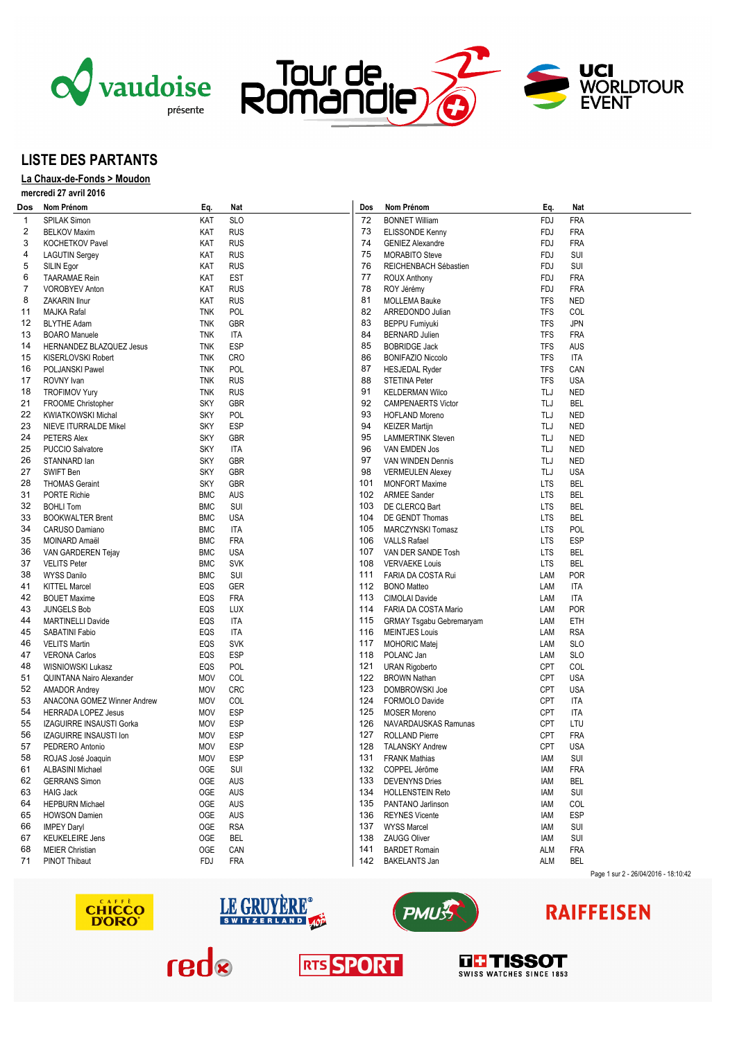





## **LISTE DES PARTANTS**

## **La Chaux-de-Fonds > Moudon**

**mercredi 27 avril 2016**

| Dos      | Nom Prénom                                | Eq.        | Nat        | Dos | Nom Prénom                                 | Eq.        | Nat        |                                      |
|----------|-------------------------------------------|------------|------------|-----|--------------------------------------------|------------|------------|--------------------------------------|
| 1        | <b>SPILAK Simon</b>                       | KAT        | <b>SLO</b> | 72  | <b>BONNET William</b>                      | FDJ        | <b>FRA</b> |                                      |
| 2        | <b>BELKOV Maxim</b>                       | KAT        | <b>RUS</b> | 73  | ELISSONDE Kenny                            | FDJ        | <b>FRA</b> |                                      |
| 3        | KOCHETKOV Pavel                           | KAT        | <b>RUS</b> | 74  | <b>GENIEZ Alexandre</b>                    | FDJ        | <b>FRA</b> |                                      |
| 4        | <b>LAGUTIN Sergey</b>                     | KAT        | <b>RUS</b> | 75  | <b>MORABITO Steve</b>                      | FDJ        | SUI        |                                      |
| 5        | SILIN Egor                                | KAT        | <b>RUS</b> | 76  | REICHENBACH Sébastien                      | FDJ        | SUI        |                                      |
| 6        | <b>TAARAMAE</b> Rein                      | KAT        | <b>EST</b> | 77  | <b>ROUX Anthony</b>                        | FDJ        | <b>FRA</b> |                                      |
| 7        | <b>VOROBYEV Anton</b>                     | KAT        | <b>RUS</b> | 78  | ROY Jérémy                                 | FDJ        | <b>FRA</b> |                                      |
| 8        | ZAKARIN Ilnur                             | KAT        | <b>RUS</b> | 81  | <b>MOLLEMA Bauke</b>                       | <b>TFS</b> | <b>NED</b> |                                      |
| 11       | MAJKA Rafal                               | <b>TNK</b> | POL        | 82  | ARREDONDO Julian                           | <b>TFS</b> | COL        |                                      |
| 12       | <b>BLYTHE Adam</b>                        | <b>TNK</b> | GBR        | 83  | <b>BEPPU Fumiyuki</b>                      | <b>TFS</b> | <b>JPN</b> |                                      |
| 13       | <b>BOARO</b> Manuele                      | <b>TNK</b> | ITA        | 84  | <b>BERNARD Julien</b>                      | <b>TFS</b> | <b>FRA</b> |                                      |
|          |                                           |            |            | 85  |                                            |            |            |                                      |
| 14       | HERNANDEZ BLAZQUEZ Jesus                  | <b>TNK</b> | <b>ESP</b> |     | <b>BOBRIDGE Jack</b>                       | <b>TFS</b> | AUS        |                                      |
| 15       | KISERLOVSKI Robert                        | <b>TNK</b> | <b>CRO</b> | 86  | <b>BONIFAZIO Niccolo</b>                   | <b>TFS</b> | <b>ITA</b> |                                      |
| 16       | POLJANSKI Pawel                           | <b>TNK</b> | <b>POL</b> | 87  | <b>HESJEDAL Ryder</b>                      | <b>TFS</b> | CAN        |                                      |
| 17       | ROVNY Ivan                                | <b>TNK</b> | <b>RUS</b> | 88  | <b>STETINA Peter</b>                       | <b>TFS</b> | <b>USA</b> |                                      |
| 18       | <b>TROFIMOV Yury</b>                      | <b>TNK</b> | <b>RUS</b> | 91  | <b>KELDERMAN Wilco</b>                     | TLJ        | <b>NED</b> |                                      |
| 21       | FROOME Christopher                        | <b>SKY</b> | GBR        | 92  | <b>CAMPENAERTS Victor</b>                  | TLJ        | <b>BEL</b> |                                      |
| 22       | <b>KWIATKOWSKI Michal</b>                 | <b>SKY</b> | <b>POL</b> | 93  | <b>HOFLAND Moreno</b>                      | TLJ        | <b>NED</b> |                                      |
| 23       | NIEVE ITURRALDE Mikel                     | <b>SKY</b> | <b>ESP</b> | 94  | <b>KEIZER Martijn</b>                      | TLJ        | <b>NED</b> |                                      |
| 24       | PETERS Alex                               | <b>SKY</b> | <b>GBR</b> | 95  | <b>LAMMERTINK Steven</b>                   | TLJ        | <b>NED</b> |                                      |
| 25       | PUCCIO Salvatore                          | <b>SKY</b> | ITA        | 96  | VAN EMDEN Jos                              | TLJ        | <b>NED</b> |                                      |
| 26       | STANNARD lan                              | <b>SKY</b> | <b>GBR</b> | 97  | VAN WINDEN Dennis                          | TLJ        | <b>NED</b> |                                      |
| 27       | SWIFT Ben                                 | <b>SKY</b> | GBR        | 98  | <b>VERMEULEN Alexey</b>                    | TLJ        | <b>USA</b> |                                      |
| 28       | <b>THOMAS Geraint</b>                     | <b>SKY</b> | GBR        | 101 | <b>MONFORT Maxime</b>                      | <b>LTS</b> | <b>BEL</b> |                                      |
| 31       | PORTE Richie                              | <b>BMC</b> | AUS        | 102 | <b>ARMEE Sander</b>                        | <b>LTS</b> | <b>BEL</b> |                                      |
| 32       | <b>BOHLI Tom</b>                          | <b>BMC</b> | SUI        | 103 | DE CLERCQ Bart                             | <b>LTS</b> | <b>BEL</b> |                                      |
| 33       | <b>BOOKWALTER Brent</b>                   | <b>BMC</b> | <b>USA</b> | 104 | DE GENDT Thomas                            | <b>LTS</b> | <b>BEL</b> |                                      |
| 34       | CARUSO Damiano                            | <b>BMC</b> | ITA        | 105 | MARCZYNSKI Tomasz                          | <b>LTS</b> | POL        |                                      |
| 35       | MOINARD Amaël                             | <b>BMC</b> | <b>FRA</b> | 106 | VALLS Rafael                               | <b>LTS</b> | ESP        |                                      |
| 36       | VAN GARDEREN Tejay                        | <b>BMC</b> | <b>USA</b> |     | 107 VAN DER SANDE Tosh                     | <b>LTS</b> | BEL        |                                      |
| 37       | <b>VELITS Peter</b>                       | <b>BMC</b> | <b>SVK</b> | 108 | <b>VERVAEKE Louis</b>                      | <b>LTS</b> | <b>BEL</b> |                                      |
| 38       | <b>WYSS Danilo</b>                        | <b>BMC</b> | SUI        | 111 | FARIA DA COSTA Rui                         | LAM        | <b>POR</b> |                                      |
| 41       | <b>KITTEL Marcel</b>                      | EQS        | GER        |     | 112 BONO Matteo                            | LAM        | <b>ITA</b> |                                      |
| 42       | <b>BOUET Maxime</b>                       | EQS        | <b>FRA</b> | 113 | CIMOLAI Davide                             | LAM        | <b>ITA</b> |                                      |
| 43       | <b>JUNGELS Bob</b>                        | EQS        | <b>LUX</b> |     | 114 FARIA DA COSTA Mario                   | LAM        | <b>POR</b> |                                      |
| 44       | <b>MARTINELLI Davide</b>                  | EQS        | ITA        | 115 | GRMAY Tsgabu Gebremaryam                   | LAM        | ETH        |                                      |
| 45       | SABATINI Fabio                            | EQS        | ITA        | 116 | <b>MEINTJES Louis</b>                      | LAM        | <b>RSA</b> |                                      |
| 46       | <b>VELITS Martin</b>                      | EQS        | SVK        | 117 | <b>MOHORIC Matej</b>                       | LAM        | <b>SLO</b> |                                      |
| 47       | <b>VERONA Carlos</b>                      | EQS        | <b>ESP</b> | 118 | POLANC Jan                                 | LAM        | <b>SLO</b> |                                      |
| 48       | <b>WISNIOWSKI Lukasz</b>                  | EQS        | <b>POL</b> | 121 | <b>URAN Rigoberto</b>                      | <b>CPT</b> | COL        |                                      |
| 51       | QUINTANA Nairo Alexander                  | <b>MOV</b> | COL        | 122 | <b>BROWN Nathan</b>                        | <b>CPT</b> | <b>USA</b> |                                      |
| 52       | <b>AMADOR Andrey</b>                      | <b>MOV</b> | <b>CRC</b> | 123 | DOMBROWSKI Joe                             | <b>CPT</b> | <b>USA</b> |                                      |
| 53       | ANACONA GOMEZ Winner Andrew               | MOV        | COL        |     | 124 FORMOLO Davide                         | <b>CPT</b> | <b>ITA</b> |                                      |
| 54       | <b>HERRADA LOPEZ Jesus</b>                | MOV        | <b>ESP</b> | 125 | <b>MOSER Moreno</b>                        | <b>CPT</b> | ITA        |                                      |
| 55       | IZAGUIRRE INSAUSTI Gorka                  | MOV        | ESP        | 126 | NAVARDAUSKAS Ramunas                       | <b>CPT</b> | LTU        |                                      |
| 56       |                                           | <b>MOV</b> | <b>ESP</b> | 127 | <b>ROLLAND Pierre</b>                      | <b>CPT</b> | <b>FRA</b> |                                      |
| 57       | IZAGUIRRE INSAUSTI Ion<br>PEDRERO Antonio | <b>MOV</b> | <b>ESP</b> | 128 | TALANSKY Andrew                            | <b>CPT</b> | <b>USA</b> |                                      |
|          |                                           | MOV        | <b>ESP</b> | 131 |                                            |            | <b>SUI</b> |                                      |
| 58<br>61 | ROJAS José Joaquin                        |            |            |     | <b>FRANK Mathias</b>                       | iam        |            |                                      |
|          | <b>ALBASINI Michael</b>                   | OGE        | SUI        |     | 132 COPPEL Jérôme<br><b>DEVENYNS Dries</b> | iam        | <b>FRA</b> |                                      |
| 62       | <b>GERRANS Simon</b>                      | OGE        | AUS        | 133 |                                            | IAM        | BEL        |                                      |
| 63       | <b>HAIG Jack</b>                          | OGE        | AUS        |     | 134 HOLLENSTEIN Reto                       | IAM        | SUI        |                                      |
| 64       | <b>HEPBURN Michael</b>                    | OGE        | AUS        |     | 135 PANTANO Jarlinson                      | IAM        | COL        |                                      |
| 65       | <b>HOWSON Damien</b>                      | OGE        | AUS        |     | 136 REYNES Vicente                         | iam        | <b>ESP</b> |                                      |
| 66       | <b>IMPEY Daryl</b>                        | OGE        | <b>RSA</b> |     | 137 WYSS Marcel                            | IAM        | SUI        |                                      |
| 67       | <b>KEUKELEIRE Jens</b>                    | 0GE        | <b>BEL</b> |     | 138 ZAUGG Oliver                           | iam        | SUI        |                                      |
| 68       | <b>MEIER Christian</b>                    | OGE        | CAN        | 141 | <b>BARDET Romain</b>                       | ALM        | <b>FRA</b> |                                      |
| 71       | <b>PINOT Thibaut</b>                      | FDJ        | <b>FRA</b> |     | 142 BAKELANTS Jan                          | ALM        | <b>BEL</b> | Page 1 sur 2 - 26/04/2016 - 18:10:42 |
|          |                                           |            |            |     |                                            |            |            |                                      |







# **RAIFFEISEN**